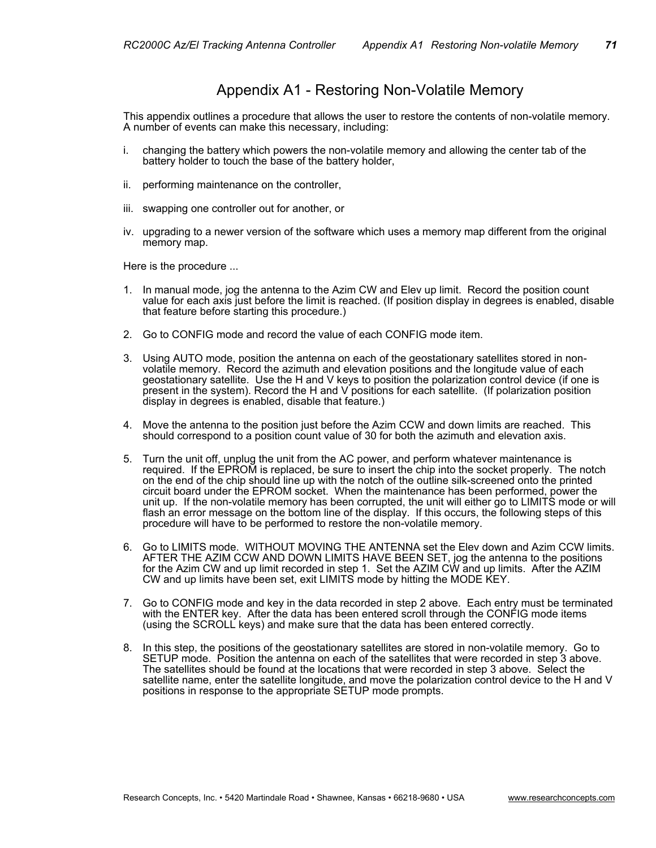## Appendix A1 - Restoring Non-Volatile Memory

This appendix outlines a procedure that allows the user to restore the contents of non-volatile memory. A number of events can make this necessary, including:

- i. changing the battery which powers the non-volatile memory and allowing the center tab of the battery holder to touch the base of the battery holder,
- ii. performing maintenance on the controller,
- iii. swapping one controller out for another, or
- iv. upgrading to a newer version of the software which uses a memory map different from the original memory map.

Here is the procedure ...

- 1. In manual mode, jog the antenna to the Azim CW and Elev up limit. Record the position count value for each axis just before the limit is reached. (If position display in degrees is enabled, disable that feature before starting this procedure.)
- 2. Go to CONFIG mode and record the value of each CONFIG mode item.
- 3. Using AUTO mode, position the antenna on each of the geostationary satellites stored in nonvolatile memory. Record the azimuth and elevation positions and the longitude value of each geostationary satellite. Use the H and V keys to position the polarization control device (if one is present in the system). Record the H and V positions for each satellite. (If polarization position display in degrees is enabled, disable that feature.)
- 4. Move the antenna to the position just before the Azim CCW and down limits are reached. This should correspond to a position count value of 30 for both the azimuth and elevation axis.
- 5. Turn the unit off, unplug the unit from the AC power, and perform whatever maintenance is required. If the EPROM is replaced, be sure to insert the chip into the socket properly. The notch on the end of the chip should line up with the notch of the outline silk-screened onto the printed circuit board under the EPROM socket. When the maintenance has been performed, power the unit up. If the non-volatile memory has been corrupted, the unit will either go to LIMITS mode or will flash an error message on the bottom line of the display. If this occurs, the following steps of this procedure will have to be performed to restore the non-volatile memory.
- 6. Go to LIMITS mode. WITHOUT MOVING THE ANTENNA set the Elev down and Azim CCW limits. AFTER THE AZIM CCW AND DOWN LIMITS HAVE BEEN SET, jog the antenna to the positions for the Azim CW and up limit recorded in step 1. Set the AZIM CW and up limits. After the AZIM CW and up limits have been set, exit LIMITS mode by hitting the MODE KEY.
- 7. Go to CONFIG mode and key in the data recorded in step 2 above. Each entry must be terminated with the ENTER key. After the data has been entered scroll through the CONFIG mode items (using the SCROLL keys) and make sure that the data has been entered correctly.
- 8. In this step, the positions of the geostationary satellites are stored in non-volatile memory. Go to SETUP mode. Position the antenna on each of the satellites that were recorded in step 3 above. The satellites should be found at the locations that were recorded in step 3 above. Select the satellite name, enter the satellite longitude, and move the polarization control device to the H and V positions in response to the appropriate SETUP mode prompts.